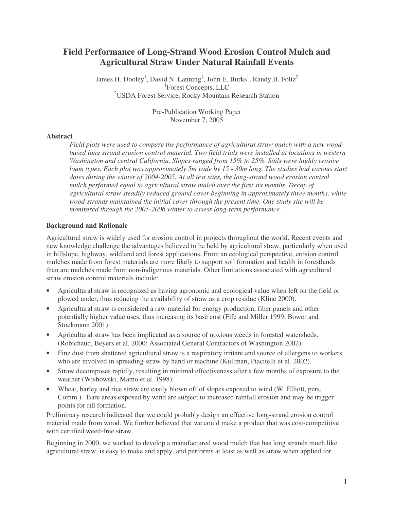## **Field Performance of Long-Strand Wood Erosion Control Mulch and Agricultural Straw Under Natural Rainfall Events**

James H. Dooley<sup>1</sup>, David N. Lanning<sup>1</sup>, John E. Burks<sup>1</sup>, Randy B. Foltz<sup>2</sup> 1 Forest Concepts, LLC <sup>2</sup>USDA Forest Service, Rocky Mountain Research Station

> Pre-Publication Working Paper November 7, 2005

#### **Abstract**

*Field plots were used to compare the performance of agricultural straw mulch with a new woodbased long strand erosion control material. Two field trials were installed at locations in western Washington and central California. Slopes ranged from 15% to 25%. Soils were highly erosive loam types. Each plot was approximately 5m wide by 15 - 30m long. The studies had various start dates during the winter of 2004-2005. At all test sites, the long-strand wood erosion control mulch performed equal to agricultural straw mulch over the first six months. Decay of agricultural straw steadily reduced ground cover beginning in approximately three months, while wood-strands maintained the initial cover through the present time. One study site will be monitored through the 2005-2006 winter to assess long-term performance.*

#### **Background and Rationale**

Agricultural straw is widely used for erosion control in projects throughout the world. Recent events and new knowledge challenge the advantages believed to be held by agricultural straw, particularly when used in hillslope, highway, wildland and forest applications. From an ecological perspective, erosion control mulches made from forest materials are more likely to support soil formation and health in forestlands than are mulches made from non-indigenous materials. Other limitations associated with agricultural straw erosion control materials include:

- Agricultural straw is recognized as having agronomic and ecological value when left on the field or plowed under, thus reducing the availability of straw as a crop residue (Kline 2000).
- Agricultural straw is considered a raw material for energy production, fiber panels and other potentially higher value uses, thus increasing its base cost (Fife and Miller 1999; Bower and Stockmann 2001).
- Agricultural straw has been implicated as a source of noxious weeds in forested watersheds. (Robichaud, Beyers et al. 2000; Associated General Contractors of Washington 2002).
- Fine dust from shattered agricultural straw is a respiratory irritant and source of allergens to workers who are involved in spreading straw by hand or machine (Kullman, Piacitelli et al. 2002).
- Straw decomposes rapidly, resulting in minimal effectiveness after a few months of exposure to the weather (Wishowski, Mamo et al. 1998).
- Wheat, barley and rice straw are easily blown off of slopes exposed to wind (W. Elliott, pers. Comm.). Bare areas exposed by wind are subject to increased rainfall erosion and may be trigger points for rill formation.

Preliminary research indicated that we could probably design an effective long-strand erosion control material made from wood. We further believed that we could make a product that was cost-competitive with certified weed-free straw.

Beginning in 2000, we worked to develop a manufactured wood mulch that has long strands much like agricultural straw, is easy to make and apply, and performs at least as well as straw when applied for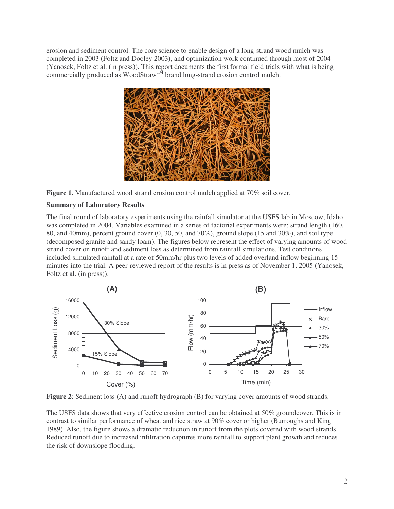erosion and sediment control. The core science to enable design of a long-strand wood mulch was completed in 2003 (Foltz and Dooley 2003), and optimization work continued through most of 2004 (Yanosek, Foltz et al. (in press)). This report documents the first formal field trials with what is being commercially produced as WoodStraw<sup>TM</sup> brand long-strand erosion control mulch.



**Figure 1.** Manufactured wood strand erosion control mulch applied at 70% soil cover.

## **Summary of Laboratory Results**

The final round of laboratory experiments using the rainfall simulator at the USFS lab in Moscow, Idaho was completed in 2004. Variables examined in a series of factorial experiments were: strand length (160, 80, and 40mm), percent ground cover (0, 30, 50, and 70%), ground slope (15 and 30%), and soil type (decomposed granite and sandy loam). The figures below represent the effect of varying amounts of wood strand cover on runoff and sediment loss as determined from rainfall simulations. Test conditions included simulated rainfall at a rate of 50mm/hr plus two levels of added overland inflow beginning 15 minutes into the trial. A peer-reviewed report of the results is in press as of November 1, 2005 (Yanosek, Foltz et al. (in press)).



**Figure 2**: Sediment loss (A) and runoff hydrograph (B) for varying cover amounts of wood strands.

The USFS data shows that very effective erosion control can be obtained at 50% groundcover. This is in contrast to similar performance of wheat and rice straw at 90% cover or higher (Burroughs and King 1989). Also, the figure shows a dramatic reduction in runoff from the plots covered with wood strands. Reduced runoff due to increased infiltration captures more rainfall to support plant growth and reduces the risk of downslope flooding.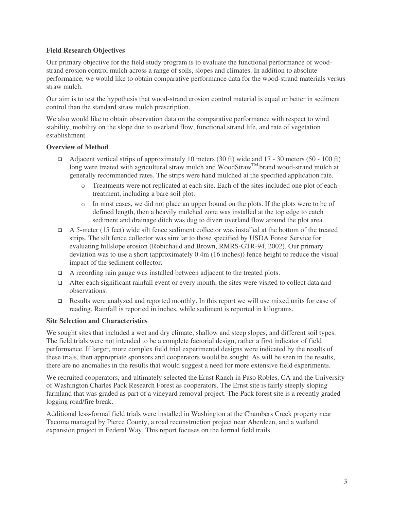#### **Field Research Objectives**

Our primary objective for the field study program is to evaluate the functional performance of woodstrand erosion control mulch across a range of soils, slopes and climates. In addition to absolute performance, we would like to obtain comparative performance data for the wood-strand materials versus straw mulch.

Our aim is to test the hypothesis that wood-strand erosion control material is equal or better in sediment control than the standard straw mulch prescription.

We also would like to obtain observation data on the comparative performance with respect to wind stability, mobility on the slope due to overland flow, functional strand life, and rate of vegetation establishment.

#### **Overview of Method**

- Adjacent vertical strips of approximately 10 meters (30 ft) wide and 17 30 meters (50 100 ft) long were treated with agricultural straw mulch and WoodStraw<sup>TM</sup> brand wood-strand mulch at generally recommended rates. The strips were hand mulched at the specified application rate.
	- o Treatments were not replicated at each site. Each of the sites included one plot of each treatment, including a bare soil plot.
	- o In most cases, we did not place an upper bound on the plots. If the plots were to be of defined length, then a heavily mulched zone was installed at the top edge to catch sediment and drainage ditch was dug to divert overland flow around the plot area.
- $\Box$  A 5-meter (15 feet) wide silt fence sediment collector was installed at the bottom of the treated strips. The silt fence collector was similar to those specified by USDA Forest Service for evaluating hillslope erosion (Robichaud and Brown, RMRS-GTR-94, 2002). Our primary deviation was to use a short (approximately 0.4m (16 inches)) fence height to reduce the visual impact of the sediment collector.
- $\Box$  A recording rain gauge was installed between adjacent to the treated plots.
- After each significant rainfall event or every month, the sites were visited to collect data and observations.
- **Example 3** Results were analyzed and reported monthly. In this report we will use mixed units for ease of reading. Rainfall is reported in inches, while sediment is reported in kilograms.

#### **Site Selection and Characteristics**

We sought sites that included a wet and dry climate, shallow and steep slopes, and different soil types. The field trials were not intended to be a complete factorial design, rather a first indicator of field performance. If larger, more complex field trial experimental designs were indicated by the results of these trials, then appropriate sponsors and cooperators would be sought. As will be seen in the results, there are no anomalies in the results that would suggest a need for more extensive field experiments.

We recruited cooperators, and ultimately selected the Ernst Ranch in Paso Robles, CA and the University of Washington Charles Pack Research Forest as cooperators. The Ernst site is fairly steeply sloping farmland that was graded as part of a vineyard removal project. The Pack forest site is a recently graded logging road/fire break.

Additional less-formal field trials were installed in Washington at the Chambers Creek property near Tacoma managed by Pierce County, a road reconstruction project near Aberdeen, and a wetland expansion project in Federal Way. This report focuses on the formal field trails.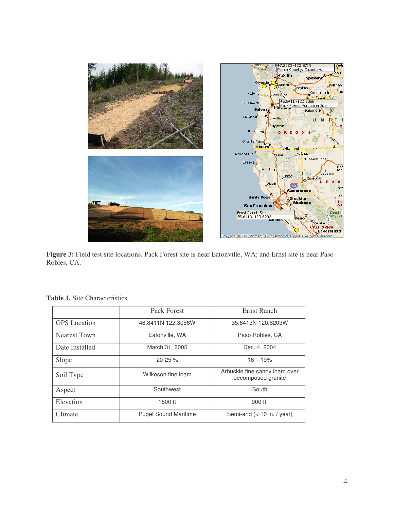

**Figure 3:** Field test site locations. Pack Forest site is near Eatonville, WA; and Ernst site is near Paso Robles, CA.

|                     | Pack Forest                 | Ernst Ranch                                         |  |  |  |
|---------------------|-----------------------------|-----------------------------------------------------|--|--|--|
| <b>GPS</b> Location | 46.8411N 122.3056W          | 35.6413N 120.6203W                                  |  |  |  |
| <b>Nearest Town</b> | Eatonville, WA              | Paso Robles, CA                                     |  |  |  |
| Date Installed      | March 31, 2005              | Dec. 4, 2004                                        |  |  |  |
| Slope               | $20 - 25 \%$                | $16 - 19%$                                          |  |  |  |
| Soil Type           | Wilkeson fine loam          | Arbuckle fine sandy loam over<br>decomposed granite |  |  |  |
| Aspect              | Southwest                   | South                                               |  |  |  |
| Elevation           | 1500 ft                     | 900 ft.                                             |  |  |  |
| Climate             | <b>Puget Sound Maritime</b> | Semi-arid $(< 10$ in. / year)                       |  |  |  |

**Table 1.** Site Characteristics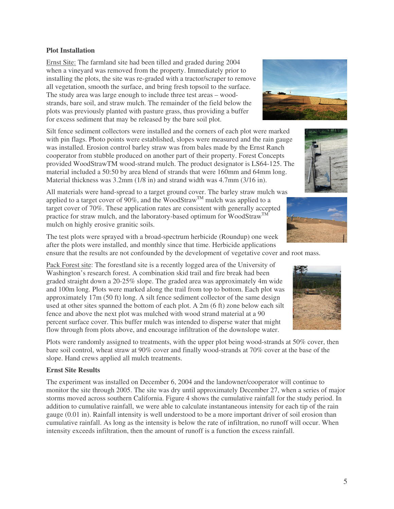# Plots were randomly assigned to treatments, with the upper plot being wood-strands at 50% cover, then bare soil control, wheat straw at 90% cover and finally wood-strands at 70% cover at the base of the slope. Hand crews applied all mulch treatments.

#### **Ernst Site Results**

The experiment was installed on December 6, 2004 and the landowner/cooperator will continue to monitor the site through 2005. The site was dry until approximately December 27, when a series of major storms moved across southern California. Figure 4 shows the cumulative rainfall for the study period. In addition to cumulative rainfall, we were able to calculate instantaneous intensity for each tip of the rain gauge (0.01 in). Rainfall intensity is well understood to be a more important driver of soil erosion than cumulative rainfall. As long as the intensity is below the rate of infiltration, no runoff will occur. When intensity exceeds infiltration, then the amount of runoff is a function the excess rainfall.

5

#### **Plot Installation**

Ernst Site: The farmland site had been tilled and graded during 2004 when a vineyard was removed from the property. Immediately prior to installing the plots, the site was re-graded with a tractor/scraper to remove all vegetation, smooth the surface, and bring fresh topsoil to the surface. The study area was large enough to include three test areas – woodstrands, bare soil, and straw mulch. The remainder of the field below the plots was previously planted with pasture grass, thus providing a buffer for excess sediment that may be released by the bare soil plot.

Silt fence sediment collectors were installed and the corners of each plot were marked with pin flags. Photo points were established, slopes were measured and the rain gauge was installed. Erosion control barley straw was from bales made by the Ernst Ranch cooperator from stubble produced on another part of their property. Forest Concepts provided WoodStrawTM wood-strand mulch. The product designator is LS64-125. The material included a 50:50 by area blend of strands that were 160mm and 64mm long. Material thickness was 3.2mm (1/8 in) and strand width was 4.7mm (3/16 in).

All materials were hand-spread to a target ground cover. The barley straw mulch was applied to a target cover of 90%, and the WoodStraw<sup>TM</sup> mulch was applied to a target cover of 70%. These application rates are consistent with generally accepted practice for straw mulch, and the laboratory-based optimum for WoodStraw<sup>TM</sup> mulch on highly erosive granitic soils.

The test plots were sprayed with a broad-spectrum herbicide (Roundup) one week after the plots were installed, and monthly since that time. Herbicide applications ensure that the results are not confounded by the development of vegetative cover and root mass.

Pack Forest site: The forestland site is a recently logged area of the University of Washington's research forest. A combination skid trail and fire break had been graded straight down a 20-25% slope. The graded area was approximately 4m wide and 100m long. Plots were marked along the trail from top to bottom. Each plot was approximately 17m (50 ft) long. A silt fence sediment collector of the same design used at other sites spanned the bottom of each plot. A 2m (6 ft) zone below each silt fence and above the next plot was mulched with wood strand material at a 90 percent surface cover. This buffer mulch was intended to disperse water that might flow through from plots above, and encourage infiltration of the downslope water.







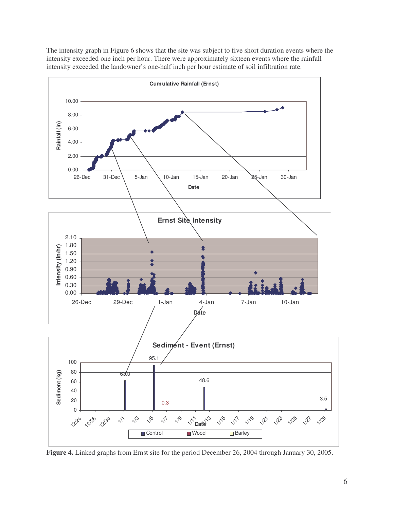The intensity graph in Figure 6 shows that the site was subject to five short duration events where the intensity exceeded one inch per hour. There were approximately sixteen events where the rainfall intensity exceeded the landowner's one-half inch per hour estimate of soil infiltration rate.



**Figure 4.** Linked graphs from Ernst site for the period December 26, 2004 through January 30, 2005.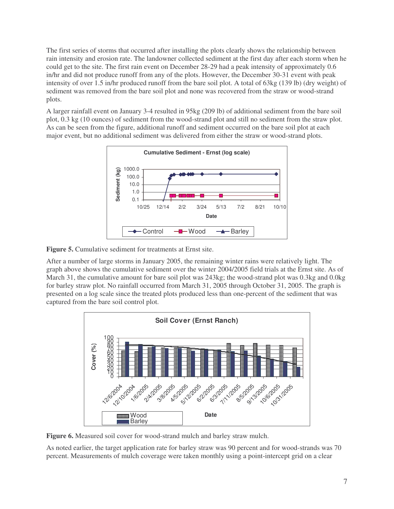The first series of storms that occurred after installing the plots clearly shows the relationship between rain intensity and erosion rate. The landowner collected sediment at the first day after each storm when he could get to the site. The first rain event on December 28-29 had a peak intensity of approximately 0.6 in/hr and did not produce runoff from any of the plots. However, the December 30-31 event with peak intensity of over 1.5 in/hr produced runoff from the bare soil plot. A total of 63kg (139 lb) (dry weight) of sediment was removed from the bare soil plot and none was recovered from the straw or wood-strand plots.

A larger rainfall event on January 3-4 resulted in 95kg (209 lb) of additional sediment from the bare soil plot, 0.3 kg (10 ounces) of sediment from the wood-strand plot and still no sediment from the straw plot. As can be seen from the figure, additional runoff and sediment occurred on the bare soil plot at each major event, but no additional sediment was delivered from either the straw or wood-strand plots.



**Figure 5.** Cumulative sediment for treatments at Ernst site.

After a number of large storms in January 2005, the remaining winter rains were relatively light. The graph above shows the cumulative sediment over the winter 2004/2005 field trials at the Ernst site. As of March 31, the cumulative amount for bare soil plot was 243kg; the wood-strand plot was 0.3kg and 0.0kg for barley straw plot. No rainfall occurred from March 31, 2005 through October 31, 2005. The graph is presented on a log scale since the treated plots produced less than one-percent of the sediment that was captured from the bare soil control plot.



**Figure 6.** Measured soil cover for wood-strand mulch and barley straw mulch.

As noted earlier, the target application rate for barley straw was 90 percent and for wood-strands was 70 percent. Measurements of mulch coverage were taken monthly using a point-intercept grid on a clear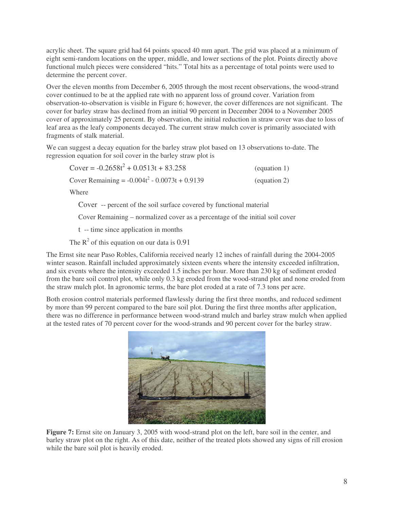acrylic sheet. The square grid had 64 points spaced 40 mm apart. The grid was placed at a minimum of eight semi-random locations on the upper, middle, and lower sections of the plot. Points directly above functional mulch pieces were considered "hits." Total hits as a percentage of total points were used to determine the percent cover.

Over the eleven months from December 6, 2005 through the most recent observations, the wood-strand cover continued to be at the applied rate with no apparent loss of ground cover. Variation from observation-to-observation is visible in Figure 6; however, the cover differences are not significant. The cover for barley straw has declined from an initial 90 percent in December 2004 to a November 2005 cover of approximately 25 percent. By observation, the initial reduction in straw cover was due to loss of leaf area as the leafy components decayed. The current straw mulch cover is primarily associated with fragments of stalk material.

We can suggest a decay equation for the barley straw plot based on 13 observations to-date. The regression equation for soil cover in the barley straw plot is

| Cover = $-0.2658t^2 + 0.0513t + 83.258$          | (equation 1) |
|--------------------------------------------------|--------------|
| Cover Remaining = $-0.004t^2 - 0.0073t + 0.9139$ | (equation 2) |

Where

Cover -- percent of the soil surface covered by functional material

Cover Remaining – normalized cover as a percentage of the initial soil cover

t -- time since application in months

The  $R^2$  of this equation on our data is 0.91

The Ernst site near Paso Robles, California received nearly 12 inches of rainfall during the 2004-2005 winter season. Rainfall included approximately sixteen events where the intensity exceeded infiltration, and six events where the intensity exceeded 1.5 inches per hour. More than 230 kg of sediment eroded from the bare soil control plot, while only 0.3 kg eroded from the wood-strand plot and none eroded from the straw mulch plot. In agronomic terms, the bare plot eroded at a rate of 7.3 tons per acre.

Both erosion control materials performed flawlessly during the first three months, and reduced sediment by more than 99 percent compared to the bare soil plot. During the first three months after application, there was no difference in performance between wood-strand mulch and barley straw mulch when applied at the tested rates of 70 percent cover for the wood-strands and 90 percent cover for the barley straw.



**Figure 7:** Ernst site on January 3, 2005 with wood-strand plot on the left, bare soil in the center, and barley straw plot on the right. As of this date, neither of the treated plots showed any signs of rill erosion while the bare soil plot is heavily eroded.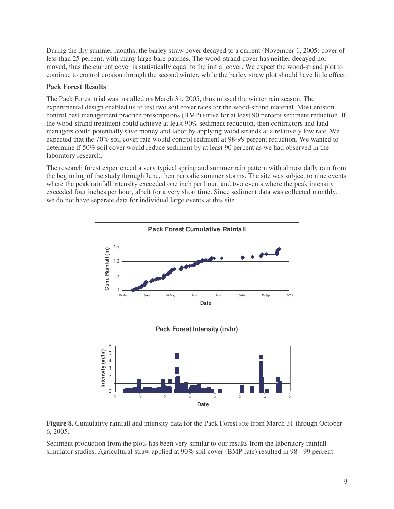During the dry summer months, the barley straw cover decayed to a current (November 1, 2005) cover of less than 25 percent, with many large bare patches. The wood-strand cover has neither decayed nor moved, thus the current cover is statistically equal to the initial cover. We expect the wood-strand plot to continue to control erosion through the second winter, while the barley straw plot should have little effect.

### **Pack Forest Results**

The Pack Forest trial was installed on March 31, 2005, thus missed the winter rain season. The experimental design enabled us to test two soil cover rates for the wood-strand material. Most erosion control best management practice prescriptions (BMP) strive for at least 90 percent sediment reduction. If the wood-strand treatment could achieve at least 90% sediment reduction, then contractors and land managers could potentially save money and labor by applying wood strands at a relatively low rate. We expected that the 70% soil cover rate would control sediment at 98-99 percent reduction. We wanted to determine if 50% soil cover would reduce sediment by at least 90 percent as we had observed in the laboratory research.

The research forest experienced a very typical spring and summer rain pattern with almost daily rain from the beginning of the study through June, then periodic summer storms. The site was subject to nine events where the peak rainfall intensity exceeded one inch per hour, and two events where the peak intensity exceeded four inches per hour, albeit for a very short time. Since sediment data was collected monthly, we do not have separate data for individual large events at this site.





**Figure 8.** Cumulative rainfall and intensity data for the Pack Forest site from March 31 through October 6, 2005.

Sediment production from the plots has been very similar to our results from the laboratory rainfall simulator studies. Agricultural straw applied at 90% soil cover (BMP rate) resulted in 98 - 99 percent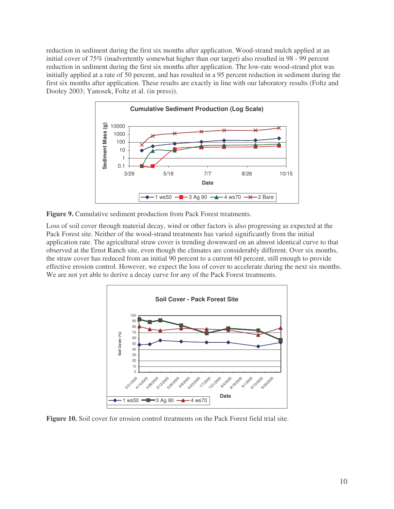reduction in sediment during the first six months after application. Wood-strand mulch applied at an initial cover of 75% (inadvertently somewhat higher than our target) also resulted in 98 - 99 percent reduction in sediment during the first six months after application. The low-rate wood-strand plot was initially applied at a rate of 50 percent, and has resulted in a 95 percent reduction in sediment during the first six months after application. These results are exactly in line with our laboratory results (Foltz and Dooley 2003; Yanosek, Foltz et al. (in press)).



**Figure 9.** Cumulative sediment production from Pack Forest treatments.

Loss of soil cover through material decay, wind or other factors is also progressing as expected at the Pack Forest site. Neither of the wood-strand treatments has varied significantly from the initial application rate. The agricultural straw cover is trending downward on an almost identical curve to that observed at the Ernst Ranch site, even though the climates are considerably different. Over six months, the straw cover has reduced from an initial 90 percent to a current 60 percent, still enough to provide effective erosion control. However, we expect the loss of cover to accelerate during the next six months. We are not yet able to derive a decay curve for any of the Pack Forest treatments.



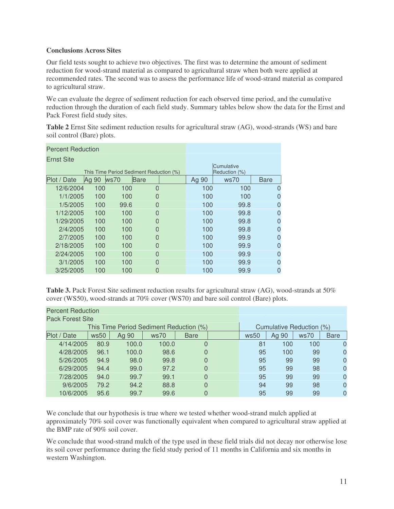#### **Conclusions Across Sites**

Our field tests sought to achieve two objectives. The first was to determine the amount of sediment reduction for wood-strand material as compared to agricultural straw when both were applied at recommended rates. The second was to assess the performance life of wood-strand material as compared to agricultural straw.

We can evaluate the degree of sediment reduction for each observed time period, and the cumulative reduction through the duration of each field study. Summary tables below show the data for the Ernst and Pack Forest field study sites.

**Table 2** Ernst Site sediment reduction results for agricultural straw (AG), wood-strands (WS) and bare soil control (Bare) plots.

| <b>Percent Reduction</b> |       |                                         |                             |  |       |      |             |
|--------------------------|-------|-----------------------------------------|-----------------------------|--|-------|------|-------------|
| Ernst Site               |       |                                         |                             |  |       |      |             |
|                          |       | This Time Period Sediment Reduction (%) | Cumulative<br>Reduction (%) |  |       |      |             |
| Plot / Date              | Ag 90 | ws70                                    | <b>Bare</b>                 |  | Ag 90 | ws70 | <b>Bare</b> |
| 12/6/2004                | 100   | 100                                     | $\Omega$                    |  | 100   | 100  | 0           |
| 1/1/2005                 | 100   | 100                                     | 0                           |  | 100   | 100  | 0           |
| 1/5/2005                 | 100   | 99.6                                    | O                           |  | 100   | 99.8 | 0           |
| 1/12/2005                | 100   | 100                                     | 0                           |  | 100   | 99.8 | 0           |
| 1/29/2005                | 100   | 100                                     | O                           |  | 100   | 99.8 | 0           |
| 2/4/2005                 | 100   | 100                                     | O                           |  | 100   | 99.8 | 0           |
| 2/7/2005                 | 100   | 100                                     | O                           |  | 100   | 99.9 | 0           |
| 2/18/2005                | 100   | 100                                     | O                           |  | 100   | 99.9 | 0           |
| 2/24/2005                | 100   | 100                                     | O                           |  | 100   | 99.9 | 0           |
| 3/1/2005                 | 100   | 100                                     | O                           |  | 100   | 99.9 | 0           |
| 3/25/2005                | 100   | 100                                     | 0                           |  | 100   | 99.9 | 0           |

**Table 3.** Pack Forest Site sediment reduction results for agricultural straw (AG), wood-strands at 50% cover (WS50), wood-strands at 70% cover (WS70) and bare soil control (Bare) plots.

| <b>Percent Reduction</b>                |      |       |       |             |  |                          |       |      |             |
|-----------------------------------------|------|-------|-------|-------------|--|--------------------------|-------|------|-------------|
| <b>Pack Forest Site</b>                 |      |       |       |             |  |                          |       |      |             |
| This Time Period Sediment Reduction (%) |      |       |       |             |  | Cumulative Reduction (%) |       |      |             |
| Plot / Date                             | ws50 | Ag 90 | ws70  | <b>Bare</b> |  | ws50                     | Ag 90 | ws70 | <b>Bare</b> |
| 4/14/2005                               | 80.9 | 100.0 | 100.0 | 0           |  | 81                       | 100   | 100  |             |
| 4/28/2005                               | 96.1 | 100.0 | 98.6  | 0           |  | 95                       | 100   | 99   |             |
| 5/26/2005                               | 94.9 | 98.0  | 99.8  | 0           |  | 95                       | 99    | 99   | $\Omega$    |
| 6/29/2005                               | 94.4 | 99.0  | 97.2  | 0           |  | 95                       | 99    | 98   | $\Omega$    |
| 7/28/2005                               | 94.0 | 99.7  | 99.1  | 0           |  | 95                       | 99    | 99   |             |
| 9/6/2005                                | 79.2 | 94.2  | 88.8  | 0           |  | 94                       | 99    | 98   | $\Omega$    |
| 10/6/2005                               | 95.6 | 99.7  | 99.6  | 0           |  | 95                       | 99    | 99   | $\Omega$    |

We conclude that our hypothesis is true where we tested whether wood-strand mulch applied at approximately 70% soil cover was functionally equivalent when compared to agricultural straw applied at the BMP rate of 90% soil cover.

We conclude that wood-strand mulch of the type used in these field trials did not decay nor otherwise lose its soil cover performance during the field study period of 11 months in California and six months in western Washington.